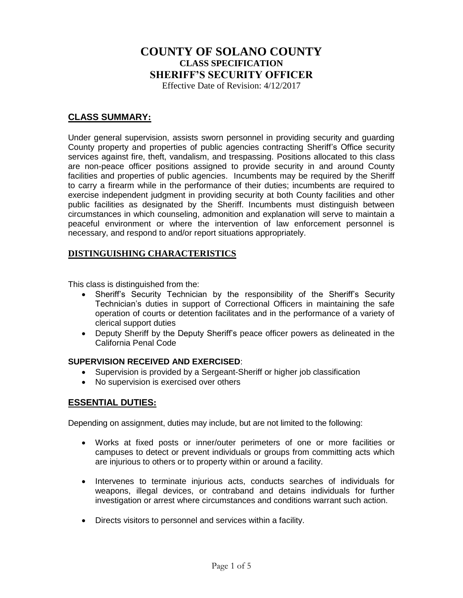# **COUNTY OF SOLANO COUNTY CLASS SPECIFICATION SHERIFF'S SECURITY OFFICER**

Effective Date of Revision: 4/12/2017

## **CLASS SUMMARY:**

Under general supervision, assists sworn personnel in providing security and guarding County property and properties of public agencies contracting Sheriff's Office security services against fire, theft, vandalism, and trespassing. Positions allocated to this class are non-peace officer positions assigned to provide security in and around County facilities and properties of public agencies. Incumbents may be required by the Sheriff to carry a firearm while in the performance of their duties; incumbents are required to exercise independent judgment in providing security at both County facilities and other public facilities as designated by the Sheriff. Incumbents must distinguish between circumstances in which counseling, admonition and explanation will serve to maintain a peaceful environment or where the intervention of law enforcement personnel is necessary, and respond to and/or report situations appropriately.

### **DISTINGUISHING CHARACTERISTICS**

This class is distinguished from the:

- Sheriff's Security Technician by the responsibility of the Sheriff's Security Technician's duties in support of Correctional Officers in maintaining the safe operation of courts or detention facilitates and in the performance of a variety of clerical support duties
- Deputy Sheriff by the Deputy Sheriff's peace officer powers as delineated in the California Penal Code

#### **SUPERVISION RECEIVED AND EXERCISED**:

- Supervision is provided by a Sergeant-Sheriff or higher job classification
- No supervision is exercised over others

### **ESSENTIAL DUTIES:**

Depending on assignment, duties may include, but are not limited to the following:

- Works at fixed posts or inner/outer perimeters of one or more facilities or campuses to detect or prevent individuals or groups from committing acts which are injurious to others or to property within or around a facility.
- Intervenes to terminate injurious acts, conducts searches of individuals for weapons, illegal devices, or contraband and detains individuals for further investigation or arrest where circumstances and conditions warrant such action.
- Directs visitors to personnel and services within a facility.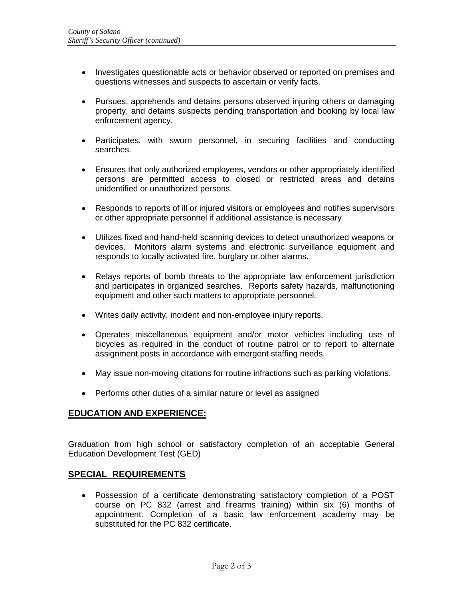- Investigates questionable acts or behavior observed or reported on premises and questions witnesses and suspects to ascertain or verify facts.
- Pursues, apprehends and detains persons observed injuring others or damaging property, and detains suspects pending transportation and booking by local law enforcement agency.
- Participates, with sworn personnel, in securing facilities and conducting searches.
- Ensures that only authorized employees, vendors or other appropriately identified persons are permitted access to closed or restricted areas and detains unidentified or unauthorized persons.
- Responds to reports of ill or injured visitors or employees and notifies supervisors or other appropriate personnel if additional assistance is necessary
- Utilizes fixed and hand-held scanning devices to detect unauthorized weapons or devices. Monitors alarm systems and electronic surveillance equipment and responds to locally activated fire, burglary or other alarms.
- Relays reports of bomb threats to the appropriate law enforcement jurisdiction and participates in organized searches. Reports safety hazards, malfunctioning equipment and other such matters to appropriate personnel.
- Writes daily activity, incident and non-employee injury reports.
- Operates miscellaneous equipment and/or motor vehicles including use of bicycles as required in the conduct of routine patrol or to report to alternate assignment posts in accordance with emergent staffing needs.
- May issue non-moving citations for routine infractions such as parking violations.
- Performs other duties of a similar nature or level as assigned

#### **EDUCATION AND EXPERIENCE:**

Graduation from high school or satisfactory completion of an acceptable General Education Development Test (GED)

#### **SPECIAL REQUIREMENTS**

 Possession of a certificate demonstrating satisfactory completion of a POST course on PC 832 (arrest and firearms training) within six (6) months of appointment. Completion of a basic law enforcement academy may be substituted for the PC 832 certificate.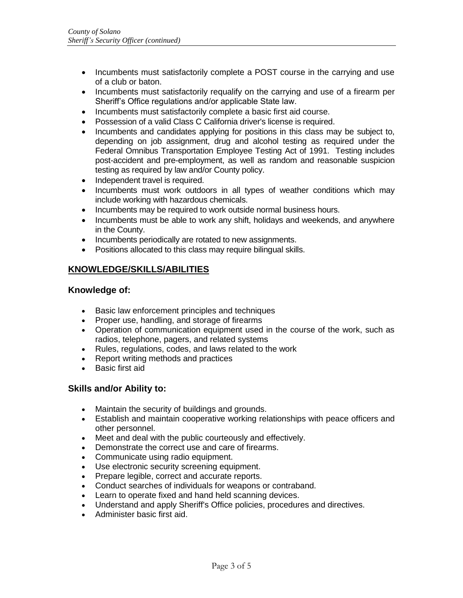- Incumbents must satisfactorily complete a POST course in the carrying and use of a club or baton.
- Incumbents must satisfactorily requalify on the carrying and use of a firearm per Sheriff's Office regulations and/or applicable State law.
- Incumbents must satisfactorily complete a basic first aid course.
- Possession of a valid Class C California driver's license is required.
- Incumbents and candidates applying for positions in this class may be subject to, depending on job assignment, drug and alcohol testing as required under the Federal Omnibus Transportation Employee Testing Act of 1991. Testing includes post-accident and pre-employment, as well as random and reasonable suspicion testing as required by law and/or County policy.
- Independent travel is required.
- Incumbents must work outdoors in all types of weather conditions which may include working with hazardous chemicals.
- Incumbents may be required to work outside normal business hours.
- Incumbents must be able to work any shift, holidays and weekends, and anywhere in the County.
- Incumbents periodically are rotated to new assignments.
- Positions allocated to this class may require bilingual skills.

## **KNOWLEDGE/SKILLS/ABILITIES**

#### **Knowledge of:**

- Basic law enforcement principles and techniques
- Proper use, handling, and storage of firearms
- Operation of communication equipment used in the course of the work, such as radios, telephone, pagers, and related systems
- Rules, regulations, codes, and laws related to the work
- Report writing methods and practices
- Basic first aid

#### **Skills and/or Ability to:**

- Maintain the security of buildings and grounds.
- Establish and maintain cooperative working relationships with peace officers and other personnel.
- Meet and deal with the public courteously and effectively.
- Demonstrate the correct use and care of firearms.
- Communicate using radio equipment.
- Use electronic security screening equipment.
- Prepare legible, correct and accurate reports.
- Conduct searches of individuals for weapons or contraband.
- Learn to operate fixed and hand held scanning devices.
- Understand and apply Sheriff's Office policies, procedures and directives.
- Administer basic first aid.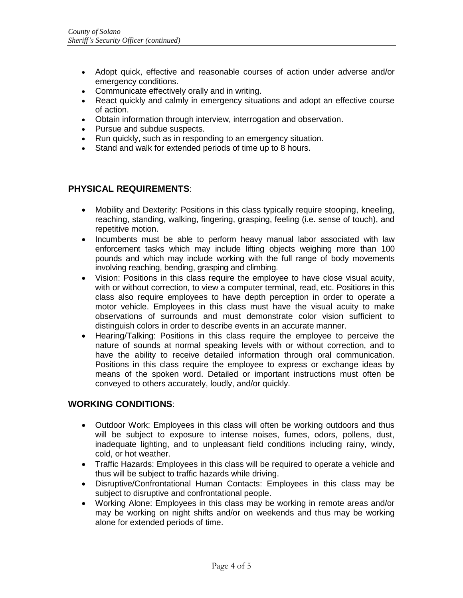- Adopt quick, effective and reasonable courses of action under adverse and/or emergency conditions.
- Communicate effectively orally and in writing.
- React quickly and calmly in emergency situations and adopt an effective course of action.
- Obtain information through interview, interrogation and observation.
- Pursue and subdue suspects.
- Run quickly, such as in responding to an emergency situation.
- Stand and walk for extended periods of time up to 8 hours.

## **PHYSICAL REQUIREMENTS**:

- Mobility and Dexterity: Positions in this class typically require stooping, kneeling, reaching, standing, walking, fingering, grasping, feeling (i.e. sense of touch), and repetitive motion.
- Incumbents must be able to perform heavy manual labor associated with law enforcement tasks which may include lifting objects weighing more than 100 pounds and which may include working with the full range of body movements involving reaching, bending, grasping and climbing.
- Vision: Positions in this class require the employee to have close visual acuity, with or without correction, to view a computer terminal, read, etc. Positions in this class also require employees to have depth perception in order to operate a motor vehicle. Employees in this class must have the visual acuity to make observations of surrounds and must demonstrate color vision sufficient to distinguish colors in order to describe events in an accurate manner.
- Hearing/Talking: Positions in this class require the employee to perceive the nature of sounds at normal speaking levels with or without correction, and to have the ability to receive detailed information through oral communication. Positions in this class require the employee to express or exchange ideas by means of the spoken word. Detailed or important instructions must often be conveyed to others accurately, loudly, and/or quickly.

### **WORKING CONDITIONS**:

- Outdoor Work: Employees in this class will often be working outdoors and thus will be subject to exposure to intense noises, fumes, odors, pollens, dust, inadequate lighting, and to unpleasant field conditions including rainy, windy, cold, or hot weather.
- Traffic Hazards: Employees in this class will be required to operate a vehicle and thus will be subject to traffic hazards while driving.
- Disruptive/Confrontational Human Contacts: Employees in this class may be subject to disruptive and confrontational people.
- Working Alone: Employees in this class may be working in remote areas and/or may be working on night shifts and/or on weekends and thus may be working alone for extended periods of time.